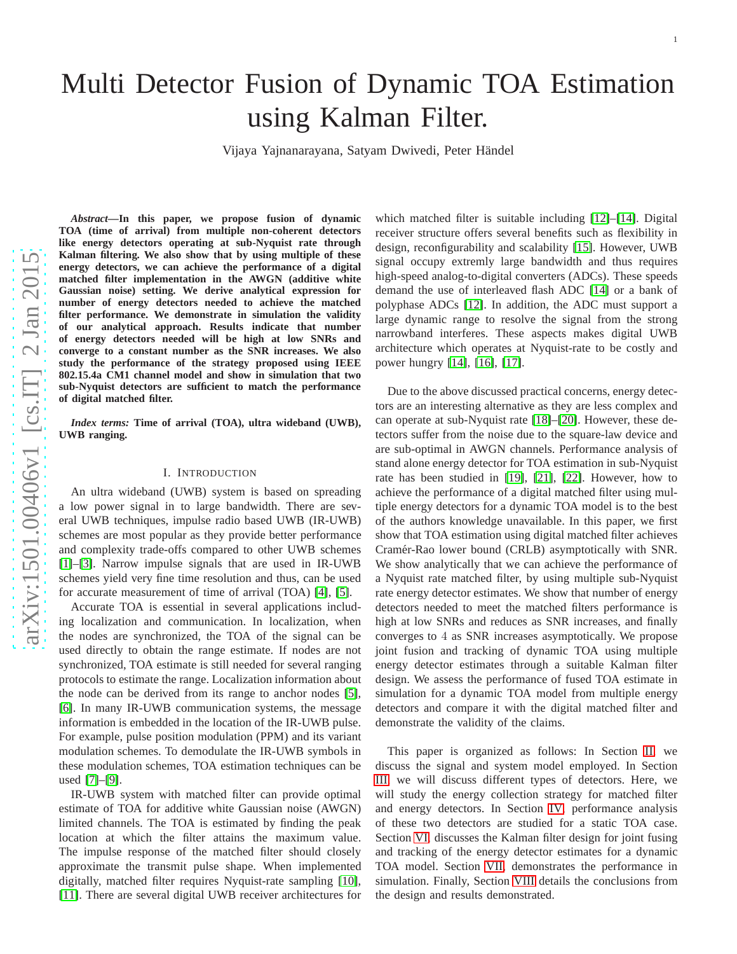# Multi Detector Fusion of Dynamic TOA Estimation using Kalman Filter.

Vijaya Yajnanarayana, Satyam Dwivedi, Peter Händel

*Abstract***—In this paper, we propose fusion of dynamic TOA (time of arrival) from multiple non-coherent detectors** like energy detectors operating at sub-Nyquist rate through **Kalman filtering. We also show that by using multiple of these energy detectors, we can achieve the performance of a digita l matched filter implementation in the AWGN (additive white Gaussian noise) setting. We derive analytical expression for number of energy detectors needed to achieve the matched filter performance. We demonstrate in simulation the validity of our analytical approach. Results indicate that number of energy detectors needed will be high at low SNRs and converge to a constant number as the SNR increases. We also study the performance of the strategy proposed using IEEE 802.15.4a CM1 channel model and show in simulation that two sub-Nyquist detectors are sufficient to match the performance of digital matched filter.**

*Index terms:* **Time of arrival (TOA), ultra wideband (UWB), UWB ranging.**

#### I. INTRODUCTION

An ultra wideband (UWB) system is based on spreading a low power signal in to large bandwidth. There are several UWB techniques, impulse radio based UWB (IR-UWB) schemes are most popular as they provide better performance and complexity trade-offs compared to other UWB schemes [\[1\]](#page-8-0)–[\[3\]](#page-8-1). Narrow impulse signals that are used in IR-UWB schemes yield very fine time resolution and thus, can be used for accurate measurement of time of arrival (TOA) [\[4\]](#page-8-2), [\[5\]](#page-8-3).

Accurate TOA is essential in several applications including localization and communication. In localization, when the nodes are synchronized, the TOA of the signal can be used directly to obtain the range estimate. If nodes are not synchronized, TOA estimate is still needed for several ranging protocols to estimate the range. Localization information about the node can be derived from its range to anchor nodes [\[5\]](#page-8-3), [\[6\]](#page-8-4). In many IR-UWB communication systems, the message information is embedded in the location of the IR-UWB pulse. For example, pulse position modulation (PPM) and its varian t modulation schemes. To demodulate the IR-UWB symbols in these modulation schemes, TOA estimation techniques can be used [\[7\]](#page-8-5)–[\[9\]](#page-8-6).

IR-UWB system with matched filter can provide optimal estimate of TOA for additive white Gaussian noise (AWGN) limited channels. The TOA is estimated by finding the peak location at which the filter attains the maximum value. The impulse response of the matched filter should closely approximate the transmit pulse shape. When implemented digitally, matched filter requires Nyquist-rate sampling [\[10\]](#page-8-7), [\[11\]](#page-8-8). There are several digital UWB receiver architectures for which matched filter is suitable including [\[12\]](#page-8-9)–[\[14\]](#page-8-10). Digital receiver structure offers several benefits such as flexibility in design, reconfigurability and scalability [\[15\]](#page-8-11). However, UWB signal occupy extremly large bandwidth and thus requires high-speed analog-to-digital converters (ADCs). These speeds demand the use of interleaved flash ADC [\[14\]](#page-8-10) or a bank of polyphase ADCs [\[12\]](#page-8-9). In addition, the ADC must support a large dynamic range to resolve the signal from the strong narrowband interferes. These aspects makes digital UWB architecture which operates at Nyquist-rate to be costly an d power hungry [\[14\]](#page-8-10), [\[16\]](#page-8-12), [\[17\]](#page-8-13).

Due to the above discussed practical concerns, energy detec tors are an interesting alternative as they are less complex and can operate at sub-Nyquist rate [\[18\]](#page-8-14)–[\[20\]](#page-8-15). However, these detectors suffer from the noise due to the square-law device and are sub-optimal in AWGN channels. Performance analysis of stand alone energy detector for TOA estimation in sub-Nyquist rate has been studied in [\[19\]](#page-8-16), [\[21\]](#page-8-17), [\[22\]](#page-8-18). However, how to achieve the performance of a digital matched filter using mul tiple energy detectors for a dynamic TOA model is to the best of the authors knowledge unavailable. In this paper, we first show that TOA estimation using digital matched filter achieves Cramér-Rao lower bound (CRLB) asymptotically with SNR. We show analytically that we can achieve the performance of a Nyquist rate matched filter, by using multiple sub-Nyquist rate energy detector estimates. We show that number of energy detectors needed to meet the matched filters performance is high at low SNRs and reduces as SNR increases, and finally converges to 4 as SNR increases asymptotically. We propose joint fusion and tracking of dynamic TOA using multiple energy detector estimates through a suitable Kalman filter design. We assess the performance of fused TOA estimate in simulation for a dynamic TOA model from multiple energy detectors and compare it with the digital matched filter and demonstrate the validity of the claims.

This paper is organized as follows: In Section [II,](#page-1-0) we discuss the signal and system model employed. In Section [III,](#page-2-0) we will discuss different types of detectors. Here, we will study the energy collection strategy for matched filter and energy detectors. In Section [IV,](#page-2-1) performance analysis of these two detectors are studied for a static TOA case. Section [VI,](#page-5-0) discusses the Kalman filter design for joint fusing and tracking of the energy detector estimates for a dynamic TOA model. Section [VII,](#page-6-0) demonstrates the performance in simulation. Finally, Section [VIII](#page-7-0) details the conclusions from the design and results demonstrated.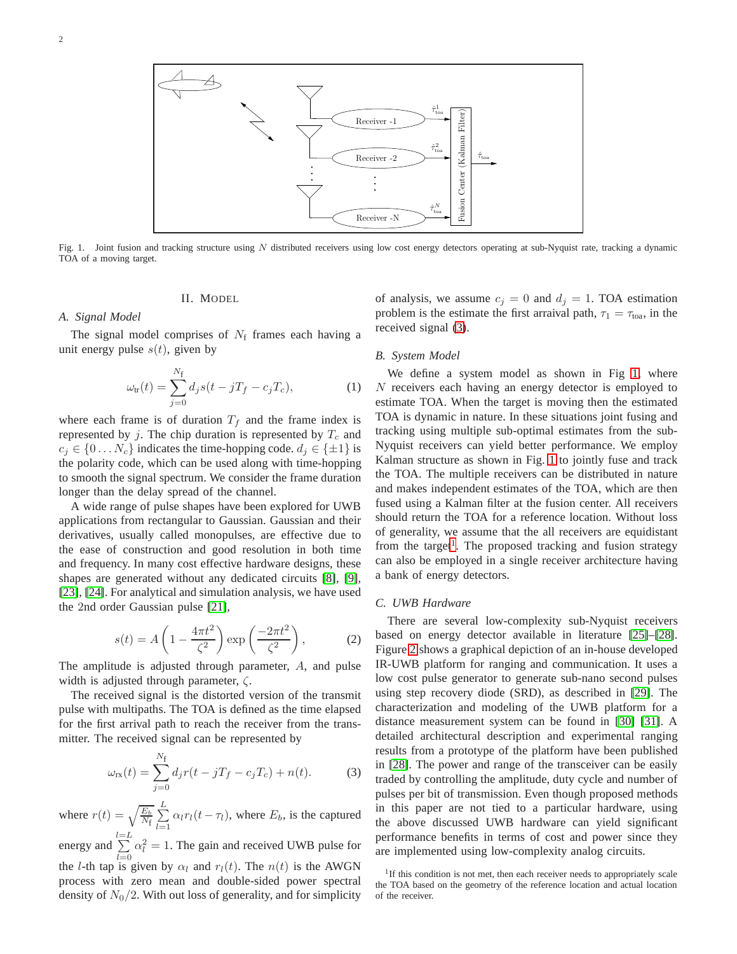

<span id="page-1-2"></span><span id="page-1-0"></span>Fig. 1. Joint fusion and tracking structure using  $N$  distributed receivers using low cost energy detectors operating at sub-Nyquist rate, tracking a dynamic TOA of a moving target.

### II. MODEL

*A. Signal Model*

The signal model comprises of  $N_f$  frames each having a unit energy pulse  $s(t)$ , given by

$$
\omega_{\rm tr}(t) = \sum_{j=0}^{N_{\rm f}} d_j s(t - jT_f - c_j T_c), \tag{1}
$$

where each frame is of duration  $T_f$  and the frame index is represented by j. The chip duration is represented by  $T_c$  and  $c_j \in \{0 \dots N_c\}$  indicates the time-hopping code.  $d_j \in \{\pm 1\}$  is the polarity code, which can be used along with time-hopping to smooth the signal spectrum. We consider the frame duration longer than the delay spread of the channel.

A wide range of pulse shapes have been explored for UWB applications from rectangular to Gaussian. Gaussian and their derivatives, usually called monopulses, are effective due to the ease of construction and good resolution in both time and frequency. In many cost effective hardware designs, these shapes are generated without any dedicated circuits [\[8\]](#page-8-19), [\[9\]](#page-8-6), [\[23\]](#page-8-20), [\[24\]](#page-8-21). For analytical and simulation analysis, we have used the 2nd order Gaussian pulse [\[21\]](#page-8-17),

$$
s(t) = A\left(1 - \frac{4\pi t^2}{\zeta^2}\right) \exp\left(\frac{-2\pi t^2}{\zeta^2}\right),\tag{2}
$$

The amplitude is adjusted through parameter, A, and pulse width is adjusted through parameter,  $\zeta$ .

The received signal is the distorted version of the transmit pulse with multipaths. The TOA is defined as the time elapsed for the first arrival path to reach the receiver from the transmitter. The received signal can be represented by

<span id="page-1-1"></span>
$$
\omega_{\rm rx}(t) = \sum_{j=0}^{N_{\rm f}} d_j r(t - jT_f - c_j T_c) + n(t). \tag{3}
$$

where  $r(t) = \sqrt{\frac{E_b}{N_f}} \sum_{l=1}^{L}$  $\sum_{l=1} \alpha_l r_l(t-\tau_l)$ , where  $E_b$ , is the captured

energy and  $\sum_{l=L}$  $_{l=0}$  $\alpha_l^2 = 1$ . The gain and received UWB pulse for the *l*-th tap is given by  $\alpha_l$  and  $r_l(t)$ . The  $n(t)$  is the AWGN process with zero mean and double-sided power spectral density of  $N_0/2$ . With out loss of generality, and for simplicity

of analysis, we assume  $c_j = 0$  and  $d_j = 1$ . TOA estimation problem is the estimate the first arraival path,  $\tau_1 = \tau_{\text{toa}}$ , in the received signal [\(3\)](#page-1-1).

#### *B. System Model*

We define a system model as shown in Fig [1,](#page-1-2) where N receivers each having an energy detector is employed to estimate TOA. When the target is moving then the estimated TOA is dynamic in nature. In these situations joint fusing and tracking using multiple sub-optimal estimates from the sub-Nyquist receivers can yield better performance. We employ Kalman structure as shown in Fig. [1](#page-1-2) to jointly fuse and track the TOA. The multiple receivers can be distributed in nature and makes independent estimates of the TOA, which are then fused using a Kalman filter at the fusion center. All receivers should return the TOA for a reference location. Without loss of generality, we assume that the all receivers are equidistant from the target<sup>[1](#page-1-3)</sup>. The proposed tracking and fusion strategy can also be employed in a single receiver architecture having a bank of energy detectors.

#### *C. UWB Hardware*

There are several low-complexity sub-Nyquist receivers based on energy detector available in literature [\[25\]](#page-8-22)–[\[28\]](#page-9-0). Figure [2](#page-2-2) shows a graphical depiction of an in-house developed IR-UWB platform for ranging and communication. It uses a low cost pulse generator to generate sub-nano second pulses using step recovery diode (SRD), as described in [\[29\]](#page-9-1). The characterization and modeling of the UWB platform for a distance measurement system can be found in [\[30\]](#page-9-2) [\[31\]](#page-9-3). A detailed architectural description and experimental ranging results from a prototype of the platform have been published in [\[28\]](#page-9-0). The power and range of the transceiver can be easily traded by controlling the amplitude, duty cycle and number of pulses per bit of transmission. Even though proposed methods in this paper are not tied to a particular hardware, using the above discussed UWB hardware can yield significant performance benefits in terms of cost and power since they are implemented using low-complexity analog circuits.

<span id="page-1-3"></span><sup>&</sup>lt;sup>1</sup>If this condition is not met, then each receiver needs to appropriately scale the TOA based on the geometry of the reference location and actual location of the receiver.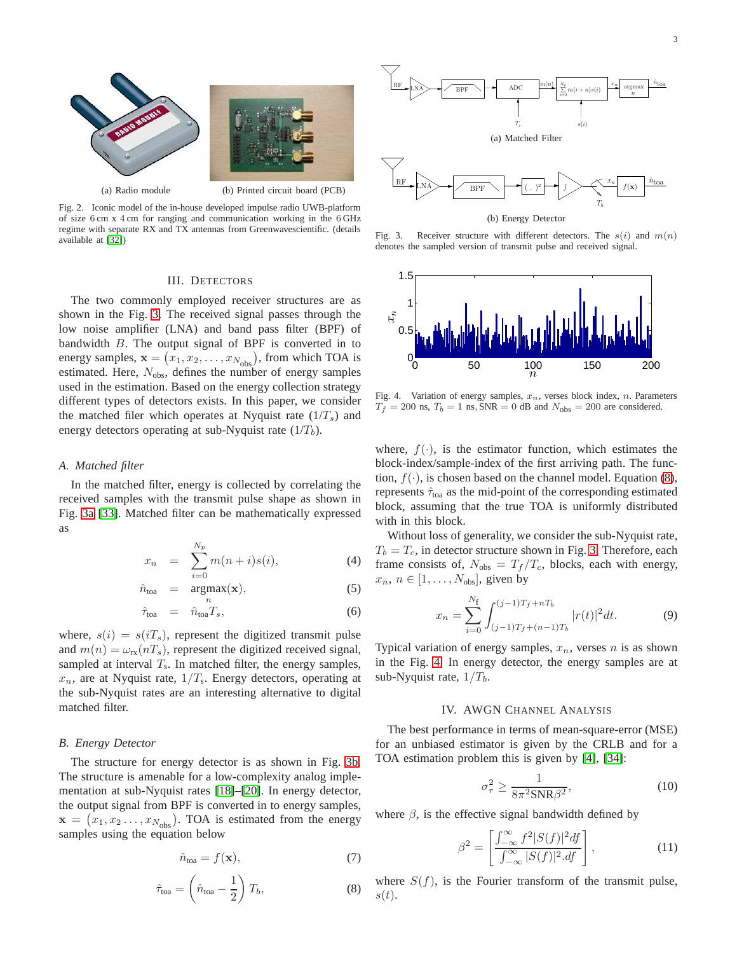

Fig. 2. Iconic model of the in-house developed impulse radio UWB-platform of size 6 cm x 4 cm for ranging and communication working in the 6 GHz regime with separate RX and TX antennas from Greenwavescientific. (details available at [\[32\]](#page-9-4))

#### III. DETECTORS

<span id="page-2-2"></span><span id="page-2-0"></span>The two commonly employed receiver structures are as shown in the Fig. [3.](#page-2-3) The received signal passes through the low noise amplifier (LNA) and band pass filter (BPF) of bandwidth B. The output signal of BPF is converted in to energy samples,  $\mathbf{x} = (x_1, x_2, \dots, x_{N_{obs}})$ , from which TOA is estimated. Here,  $N_{\text{obs}}$ , defines the number of energy samples used in the estimation. Based on the energy collection strategy different types of detectors exists. In this paper, we consider the matched filer which operates at Nyquist rate  $(1/T_s)$  and energy detectors operating at sub-Nyquist rate  $(1/T_b)$ .

#### *A. Matched filter*

In the matched filter, energy is collected by correlating the received samples with the transmit pulse shape as shown in Fig. [3a](#page-2-4) [\[33\]](#page-9-5). Matched filter can be mathematically expressed as

<span id="page-2-9"></span>
$$
x_n = \sum_{i=0}^{N_p} m(n+i)s(i), \tag{4}
$$

$$
\hat{n}_{\text{toa}} = \underset{n}{\text{argmax}}(\mathbf{x}), \tag{5}
$$

$$
\hat{\tau}_{\text{toa}} = \hat{n}_{\text{toa}} T_s, \tag{6}
$$

where,  $s(i) = s(iT<sub>s</sub>)$ , represent the digitized transmit pulse and  $m(n) = \omega_{\text{rx}}(nT_s)$ , represent the digitized received signal, sampled at interval  $T_s$ . In matched filter, the energy samples,  $x_n$ , are at Nyquist rate,  $1/T_s$ . Energy detectors, operating at the sub-Nyquist rates are an interesting alternative to digital matched filter.

#### *B. Energy Detector*

The structure for energy detector is as shown in Fig. [3b.](#page-2-5) The structure is amenable for a low-complexity analog implementation at sub-Nyquist rates [\[18\]](#page-8-14)–[\[20\]](#page-8-15). In energy detector, the output signal from BPF is converted in to energy samples,  $\mathbf{x} = (x_1, x_2 \dots, x_{N_{\text{obs}}})$ . TOA is estimated from the energy samples using the equation below

<span id="page-2-8"></span>
$$
\hat{n}_{\text{toa}} = f(\mathbf{x}),\tag{7}
$$

<span id="page-2-6"></span>
$$
\hat{\tau}_{\text{toa}} = \left(\hat{n}_{\text{toa}} - \frac{1}{2}\right) T_b,\tag{8}
$$

<span id="page-2-4"></span>

<span id="page-2-5"></span>

<span id="page-2-3"></span>Fig. 3. Receiver structure with different detectors. The  $s(i)$  and  $m(n)$ denotes the sampled version of transmit pulse and received signal.



<span id="page-2-7"></span>Fig. 4. Variation of energy samples,  $x_n$ , verses block index, n. Parameters  $T_f = 200$  ns,  $T_b = 1$  ns, SNR = 0 dB and  $N_{obs} = 200$  are considered.

where,  $f(\cdot)$ , is the estimator function, which estimates the block-index/sample-index of the first arriving path. The function,  $f(\cdot)$ , is chosen based on the channel model. Equation [\(8\)](#page-2-6), represents  $\hat{\tau}_{\text{toa}}$  as the mid-point of the corresponding estimated block, assuming that the true TOA is uniformly distributed with in this block.

Without loss of generality, we consider the sub-Nyquist rate,  $T_b = T_c$ , in detector structure shown in Fig. [3.](#page-2-3) Therefore, each frame consists of,  $N_{obs} = T_f/T_c$ , blocks, each with energy,  $x_n, n \in [1, \ldots, N_{obs}],$  given by

$$
x_n = \sum_{i=0}^{N_f} \int_{(j-1)T_f + (n-1)T_b}^{(j-1)T_f + nT_b} |r(t)|^2 dt.
$$
 (9)

Typical variation of energy samples,  $x_n$ , verses n is as shown in the Fig. [4.](#page-2-7) In energy detector, the energy samples are at sub-Nyquist rate,  $1/T<sub>b</sub>$ .

#### IV. AWGN CHANNEL ANALYSIS

<span id="page-2-1"></span>The best performance in terms of mean-square-error (MSE) for an unbiased estimator is given by the CRLB and for a TOA estimation problem this is given by [\[4\]](#page-8-2), [\[34\]](#page-9-6):

<span id="page-2-10"></span>
$$
\sigma_{\tau}^2 \ge \frac{1}{8\pi^2 \text{SNR}\beta^2},\tag{10}
$$

where  $\beta$ , is the effective signal bandwidth defined by

$$
\beta^2 = \left[ \frac{\int_{-\infty}^{\infty} f^2 |S(f)|^2 df}{\int_{-\infty}^{\infty} |S(f)|^2 df} \right],
$$
\n(11)

where  $S(f)$ , is the Fourier transform of the transmit pulse,  $s(t)$ .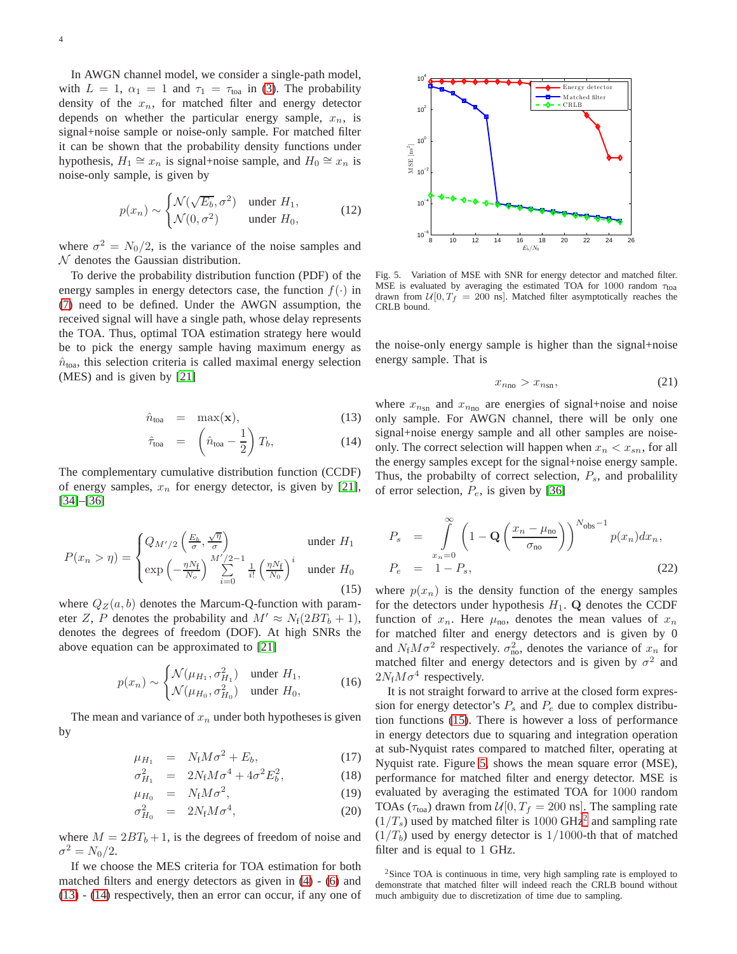In AWGN channel model, we consider a single-path model, with  $L = 1$ ,  $\alpha_1 = 1$  and  $\tau_1 = \tau_{\text{toa}}$  in [\(3\)](#page-1-1). The probability density of the  $x_n$ , for matched filter and energy detector depends on whether the particular energy sample,  $x_n$ , is signal+noise sample or noise-only sample. For matched filter it can be shown that the probability density functions under hypothesis,  $H_1 \cong x_n$  is signal+noise sample, and  $H_0 \cong x_n$  is noise-only sample, is given by

<span id="page-3-5"></span>
$$
p(x_n) \sim \begin{cases} \mathcal{N}(\sqrt{E_b}, \sigma^2) & \text{under } H_1, \\ \mathcal{N}(0, \sigma^2) & \text{under } H_0, \end{cases}
$$
 (12)

where  $\sigma^2 = N_0/2$ , is the variance of the noise samples and  $N$  denotes the Gaussian distribution.

To derive the probability distribution function (PDF) of the energy samples in energy detectors case, the function  $f(.)$  in [\(7\)](#page-2-8) need to be defined. Under the AWGN assumption, the received signal will have a single path, whose delay represents the TOA. Thus, optimal TOA estimation strategy here would be to pick the energy sample having maximum energy as  $\hat{n}_{\text{toa}}$ , this selection criteria is called maximal energy selection (MES) and is given by [\[21\]](#page-8-17)

<span id="page-3-0"></span>
$$
\hat{n}_{\text{toa}} = \max(\mathbf{x}), \tag{13}
$$

$$
\hat{\tau}_{\text{toa}} = \left(\hat{n}_{\text{toa}} - \frac{1}{2}\right) T_b, \tag{14}
$$

The complementary cumulative distribution function (CCDF) of energy samples,  $x_n$  for energy detector, is given by [\[21\]](#page-8-17), [\[34\]](#page-9-6)–[\[36\]](#page-9-7)

<span id="page-3-1"></span>
$$
P(x_n > \eta) = \begin{cases} Q_{M'/2}\left(\frac{E_b}{\sigma}, \frac{\sqrt{\eta}}{\sigma}\right) & \text{under } H_1\\ \exp\left(-\frac{\eta N_f}{N_o}\right) \sum_{i=0}^{M'/2-1} \frac{1}{i!} \left(\frac{\eta N_f}{N_0}\right)^i & \text{under } H_0 \end{cases} \tag{15}
$$

where  $Q_Z(a, b)$  denotes the Marcum-Q-function with parameter Z, P denotes the probability and  $M' \approx N_f(2BT_b + 1)$ , denotes the degrees of freedom (DOF). At high SNRs the above equation can be approximated to [\[21\]](#page-8-17)

<span id="page-3-4"></span>
$$
p(x_n) \sim \begin{cases} \mathcal{N}(\mu_{H_1}, \sigma_{H_1}^2) & \text{under } H_1, \\ \mathcal{N}(\mu_{H_0}, \sigma_{H_0}^2) & \text{under } H_0, \end{cases}
$$
 (16)

The mean and variance of  $x_n$  under both hypotheses is given by

<span id="page-3-6"></span>
$$
\mu_{H_1} = N_f M \sigma^2 + E_b, \qquad (17)
$$

$$
\sigma_{H_1}^2 = 2N_f M \sigma^4 + 4\sigma^2 E_b^2, \qquad (18)
$$

$$
\mu_{H_0} = N_{\rm f} M \sigma^2, \qquad (19)
$$

$$
\sigma_{H_0}^2 = 2N_f M \sigma^4, \qquad (20)
$$

where  $M = 2BT_b + 1$ , is the degrees of freedom of noise and  $\sigma^2 = N_0/2.$ 

If we choose the MES criteria for TOA estimation for both matched filters and energy detectors as given in [\(4\)](#page-2-9) - [\(6\)](#page-2-9) and [\(13\)](#page-3-0) - [\(14\)](#page-3-0) respectively, then an error can occur, if any one of



<span id="page-3-2"></span>Fig. 5. Variation of MSE with SNR for energy detector and matched filter. MSE is evaluated by averaging the estimated TOA for 1000 random  $\tau_{\text{toa}}$ drawn from  $\mathcal{U}[0, T_f = 200 \text{ ns}]$ . Matched filter asymptotically reaches the CRLB bound.

the noise-only energy sample is higher than the signal+noise energy sample. That is

$$
x_{n_{\text{no}}} > x_{n_{\text{sn}}},\tag{21}
$$

where  $x_{n_{\rm sn}}$  and  $x_{n_{\rm no}}$  are energies of signal+noise and noise only sample. For AWGN channel, there will be only one signal+noise energy sample and all other samples are noiseonly. The correct selection will happen when  $x_n < x_{sn}$ , for all the energy samples except for the signal+noise energy sample. Thus, the probabilty of correct selection,  $P_s$ , and probalility of error selection,  $P_e$ , is given by [\[36\]](#page-9-7)

$$
P_s = \int_{x_n=0}^{\infty} \left(1 - \mathbf{Q} \left(\frac{x_n - \mu_{\text{no}}}{\sigma_{\text{no}}}\right)\right)^{N_{\text{obs}} - 1} p(x_n) dx_n,
$$
  
\n
$$
P_e = 1 - P_s,
$$
\n(22)

where  $p(x_n)$  is the density function of the energy samples for the detectors under hypothesis  $H_1$ . Q denotes the CCDF function of  $x_n$ . Here  $\mu_{\text{no}}$ , denotes the mean values of  $x_n$ for matched filter and energy detectors and is given by 0 and  $N_f M \sigma^2$  respectively.  $\sigma_{\text{no}}^2$ , denotes the variance of  $x_n$  for matched filter and energy detectors and is given by  $\sigma^2$  and  $2N_fM\sigma^4$  respectively.

It is not straight forward to arrive at the closed form expression for energy detector's  $P_s$  and  $P_e$  due to complex distribution functions [\(15\)](#page-3-1). There is however a loss of performance in energy detectors due to squaring and integration operation at sub-Nyquist rates compared to matched filter, operating at Nyquist rate. Figure [5,](#page-3-2) shows the mean square error (MSE), performance for matched filter and energy detector. MSE is evaluated by averaging the estimated TOA for 1000 random TOAs ( $\tau_{\text{toa}}$ ) drawn from  $\mathcal{U}[0, T_f = 200 \text{ ns}]$ . The sampling rate  $(1/T_s)$  used by matched filter is 1000 GHz<sup>[2](#page-3-3)</sup> and sampling rate  $(1/T_b)$  used by energy detector is 1/1000-th that of matched filter and is equal to 1 GHz.

<span id="page-3-3"></span><sup>&</sup>lt;sup>2</sup>Since TOA is continuous in time, very high sampling rate is employed to demonstrate that matched filter will indeed reach the CRLB bound without much ambiguity due to discretization of time due to sampling.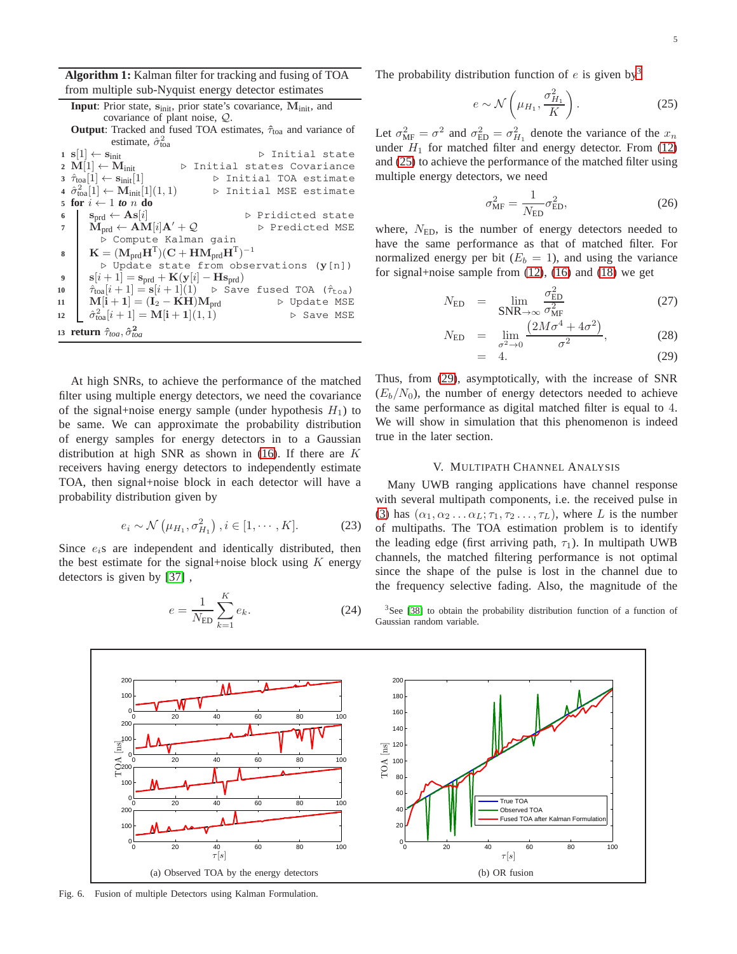**Algorithm 1:** Kalman filter for tracking and fusing of TOA from multiple sub-Nyquist energy detector estimates

<span id="page-4-3"></span>

|                  | <b>Input</b> : Prior state, $s_{\text{init}}$ , prior state's covariance, $M_{\text{init}}$ , and                                          |
|------------------|--------------------------------------------------------------------------------------------------------------------------------------------|
|                  | covariance of plant noise, $Q$ .                                                                                                           |
|                  | <b>Output:</b> Tracked and fused TOA estimates, $\hat{\tau}_{\text{toa}}$ and variance of                                                  |
|                  | estimate, $\hat{\sigma}^2_{\text{toa}}$                                                                                                    |
|                  | $\mathbf{s}[1] \leftarrow \mathbf{s}_{\text{init}}$<br>⊳ Initial state                                                                     |
|                  | 2 M[1] $\leftarrow$ M <sub>init</sub><br>▷ Initial states Covariance                                                                       |
|                  | $3 \hat{\tau}_{\text{toa}}[1] \leftarrow \mathbf{s}_{\text{init}}[1]$<br>▷ Initial TOA estimate                                            |
|                  | 4 $\hat{\sigma}_{\text{toa}}^2[1] \leftarrow \mathbf{M}_{\text{init}}[1](1, 1)$<br>▷ Initial MSE estimate                                  |
|                  | 5 for $i \leftarrow 1$ to n do                                                                                                             |
| 6                | $\mathbf{s}_{\text{ord}} \leftarrow \mathbf{As}[i]$<br>▷ Pridicted state                                                                   |
|                  | $\mathbf{M}_{\text{ord}} \leftarrow \mathbf{AM}[i]\mathbf{A}' + \mathcal{Q}$<br>▷ Predicted MSE                                            |
|                  | ▷ Compute Kalman qain                                                                                                                      |
| 8                | $\mathbf{K} = (\mathbf{M}_{\text{ord}} \mathbf{H}^{\text{T}})(\mathbf{C} + \mathbf{H} \mathbf{M}_{\text{ord}} \mathbf{H}^{\text{T}})^{-1}$ |
|                  | $\triangleright$ Update state from observations (y[n])                                                                                     |
| $\boldsymbol{9}$ | $\mathbf{s}[i+1] = \mathbf{s}_{\text{prd}} + \mathbf{K}(\mathbf{y}[i] - \mathbf{H}\mathbf{s}_{\text{prd}})$                                |
| 10               | $\hat{\tau}_{\text{toa}}[i+1] = \mathbf{s}[i+1](1)$ $\triangleright$ Save fused TOA ( $\hat{\tau}_{\text{toa}}$ )                          |
| 11               | $M[i+1] = (I_2 - KH)M_{prd}$<br>▷ Update MSE                                                                                               |
| 12               | $\hat{\sigma}_{\text{toa}}^2[i+1] = \mathbf{M[i+1]}(1,1)$<br>▷ Save MSE                                                                    |
|                  | 13 return $\hat{\tau}_{toa}, \hat{\sigma}^2_{toa}$                                                                                         |

The probability distribution function of  $e$  is given by<sup>[3](#page-4-0)</sup>

<span id="page-4-1"></span>
$$
e \sim \mathcal{N}\left(\mu_{H_1}, \frac{\sigma_{H_1}^2}{K}\right). \tag{25}
$$

Let  $\sigma_{MF}^2 = \sigma^2$  and  $\sigma_{ED}^2 = \sigma_{H_1}^2$  denote the variance of the  $x_n$ under  $H_1$  for matched filter and energy detector. From [\(12\)](#page-3-5) and [\(25\)](#page-4-1) to achieve the performance of the matched filter using multiple energy detectors, we need

$$
\sigma_{\rm MF}^2 = \frac{1}{N_{\rm ED}} \sigma_{\rm ED}^2,\tag{26}
$$

where,  $N_{ED}$ , is the number of energy detectors needed to have the same performance as that of matched filter. For normalized energy per bit  $(E_b = 1)$ , and using the variance for signal+noise sample from [\(12\)](#page-3-5), [\(16\)](#page-3-4) and [\(18\)](#page-3-6) we get

<span id="page-4-2"></span>
$$
N_{\rm ED} = \lim_{\text{SNR}\to\infty} \frac{\sigma_{\rm ED}^2}{\sigma_{\rm MF}^2}
$$
 (27)

$$
N_{\rm ED} = \lim_{\sigma^2 \to 0} \frac{\left(2M\sigma^4 + 4\sigma^2\right)}{\sigma^2},\tag{28}
$$

$$
= 4. \t(29)
$$

At high SNRs, to achieve the performance of the matched filter using multiple energy detectors, we need the covariance of the signal+noise energy sample (under hypothesis  $H_1$ ) to be same. We can approximate the probability distribution of energy samples for energy detectors in to a Gaussian distribution at high SNR as shown in  $(16)$ . If there are K receivers having energy detectors to independently estimate TOA, then signal+noise block in each detector will have a probability distribution given by

$$
e_i \sim \mathcal{N}\left(\mu_{H_1}, \sigma_{H_1}^2\right), i \in [1, \cdots, K]. \tag{23}
$$

Since  $e_i$ s are independent and identically distributed, then the best estimate for the signal+noise block using  $K$  energy detectors is given by [\[37\]](#page-9-8) ,

$$
e = \frac{1}{N_{\rm ED}} \sum_{k=1}^{K} e_k.
$$
 (24)

Thus, from [\(29\)](#page-4-2), asymptotically, with the increase of SNR  $(E_b/N_0)$ , the number of energy detectors needed to achieve the same performance as digital matched filter is equal to 4. We will show in simulation that this phenomenon is indeed true in the later section.

#### V. MULTIPATH CHANNEL ANALYSIS

Many UWB ranging applications have channel response with several multipath components, i.e. the received pulse in [\(3\)](#page-1-1) has  $(\alpha_1, \alpha_2 \ldots \alpha_L; \tau_1, \tau_2 \ldots, \tau_L)$ , where L is the number of multipaths. The TOA estimation problem is to identify the leading edge (first arriving path,  $\tau_1$ ). In multipath UWB channels, the matched filtering performance is not optimal since the shape of the pulse is lost in the channel due to the frequency selective fading. Also, the magnitude of the

<span id="page-4-5"></span><span id="page-4-0"></span><sup>3</sup>See [\[38\]](#page-9-9) to obtain the probability distribution function of a function of Gaussian random variable.



<span id="page-4-4"></span>Fig. 6. Fusion of multiple Detectors using Kalman Formulation.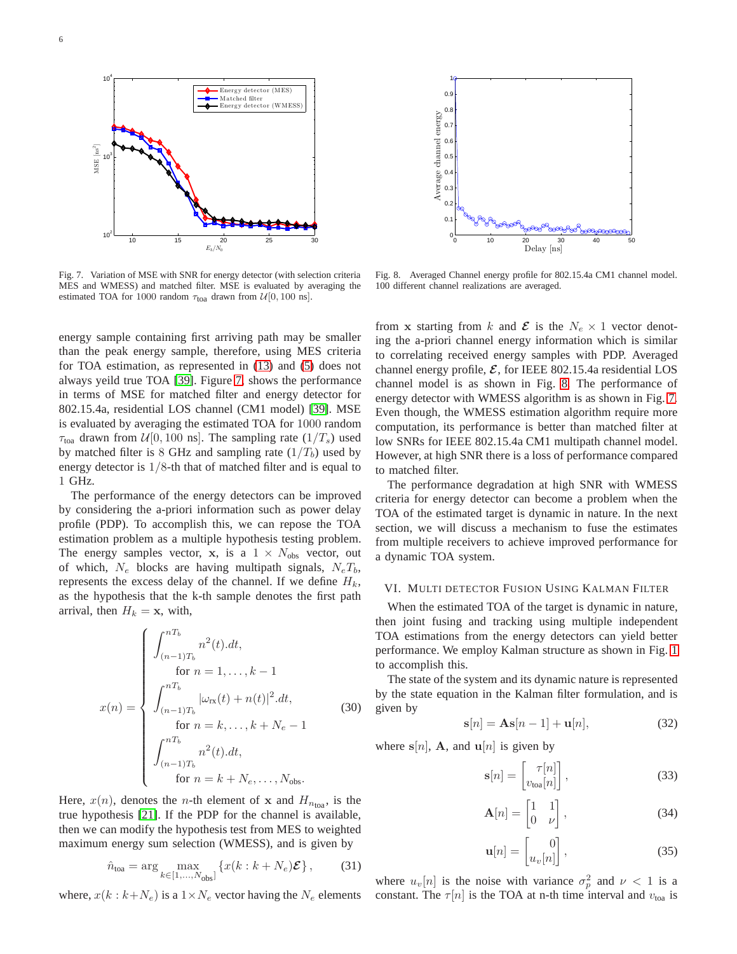



<span id="page-5-1"></span>Fig. 7. Variation of MSE with SNR for energy detector (with selection criteria MES and WMESS) and matched filter. MSE is evaluated by averaging the estimated TOA for 1000 random  $\tau_{\text{toa}}$  drawn from  $\mathcal{U}[0, 100 \text{ ns}].$ 

<span id="page-5-2"></span>Fig. 8. Averaged Channel energy profile for 802.15.4a CM1 channel model. 100 different channel realizations are averaged.

energy sample containing first arriving path may be smaller than the peak energy sample, therefore, using MES criteria for TOA estimation, as represented in [\(13\)](#page-3-0) and [\(5\)](#page-2-9) does not always yeild true TOA [\[39\]](#page-9-10). Figure [7,](#page-5-1) shows the performance in terms of MSE for matched filter and energy detector for 802.15.4a, residential LOS channel (CM1 model) [\[39\]](#page-9-10). MSE is evaluated by averaging the estimated TOA for 1000 random  $\tau_{\text{toa}}$  drawn from  $\mathcal{U}[0, 100 \text{ ns}]$ . The sampling rate  $(1/T_s)$  used by matched filter is 8 GHz and sampling rate  $(1/T_b)$  used by energy detector is  $1/8$ -th that of matched filter and is equal to 1 GHz.

The performance of the energy detectors can be improved by considering the a-priori information such as power delay profile (PDP). To accomplish this, we can repose the TOA estimation problem as a multiple hypothesis testing problem. The energy samples vector, x, is a  $1 \times N_{\text{obs}}$  vector, out of which,  $N_e$  blocks are having multipath signals,  $N_eT_b$ , represents the excess delay of the channel. If we define  $H_k$ , as the hypothesis that the k-th sample denotes the first path arrival, then  $H_k = \mathbf{x}$ , with,

$$
x(n) = \begin{cases} \int_{(n-1)T_b}^{nT_b} n^2(t).dt, \\ \text{for } n = 1, ..., k-1 \\ \int_{(n-1)T_b}^{nT_b} |\omega_{\text{rx}}(t) + n(t)|^2.dt, \\ \text{for } n = k, ..., k + N_e - 1 \\ \int_{(n-1)T_b}^{nT_b} n^2(t).dt, \\ \text{for } n = k + N_e, ..., N_{\text{obs}}. \end{cases}
$$
(30)

Here,  $x(n)$ , denotes the *n*-th element of **x** and  $H_{n_{\text{toa}}}$ , is the true hypothesis [\[21\]](#page-8-17). If the PDP for the channel is available, then we can modify the hypothesis test from MES to weighted maximum energy sum selection (WMESS), and is given by

$$
\hat{n}_{\text{toa}} = \arg\max_{k \in [1, ..., N_{\text{obs}}]} \left\{ x(k : k + N_e) \mathcal{E} \right\},\tag{31}
$$

where,  $x(k : k+N_e)$  is a  $1 \times N_e$  vector having the  $N_e$  elements

from x starting from k and  $\mathcal{E}$  is the  $N_e \times 1$  vector denoting the a-priori channel energy information which is similar to correlating received energy samples with PDP. Averaged channel energy profile,  $\mathcal{E}$ , for IEEE 802.15.4a residential LOS channel model is as shown in Fig. [8.](#page-5-2) The performance of energy detector with WMESS algorithm is as shown in Fig. [7.](#page-5-1) Even though, the WMESS estimation algorithm require more computation, its performance is better than matched filter at low SNRs for IEEE 802.15.4a CM1 multipath channel model. However, at high SNR there is a loss of performance compared to matched filter.

The performance degradation at high SNR with WMESS criteria for energy detector can become a problem when the TOA of the estimated target is dynamic in nature. In the next section, we will discuss a mechanism to fuse the estimates from multiple receivers to achieve improved performance for a dynamic TOA system.

#### <span id="page-5-0"></span>VI. MULTI DETECTOR FUSION USING KALMAN FILTER

When the estimated TOA of the target is dynamic in nature, then joint fusing and tracking using multiple independent TOA estimations from the energy detectors can yield better performance. We employ Kalman structure as shown in Fig. [1](#page-1-2) to accomplish this.

The state of the system and its dynamic nature is represented by the state equation in the Kalman filter formulation, and is given by

$$
\mathbf{s}[n] = \mathbf{A}\mathbf{s}[n-1] + \mathbf{u}[n],\tag{32}
$$

where  $s[n]$ , **A**, and  $u[n]$  is given by

$$
\mathbf{s}[n] = \begin{bmatrix} \tau[n] \\ v_{\text{toa}}[n] \end{bmatrix},\tag{33}
$$

$$
\mathbf{A}[n] = \begin{bmatrix} 1 & 1 \\ 0 & \nu \end{bmatrix},\tag{34}
$$

$$
\mathbf{u}[n] = \begin{bmatrix} 0 \\ u_v[n] \end{bmatrix},\tag{35}
$$

where  $u_v[n]$  is the noise with variance  $\sigma_p^2$  and  $\nu < 1$  is a constant. The  $\tau[n]$  is the TOA at n-th time interval and  $v_{\text{toa}}$  is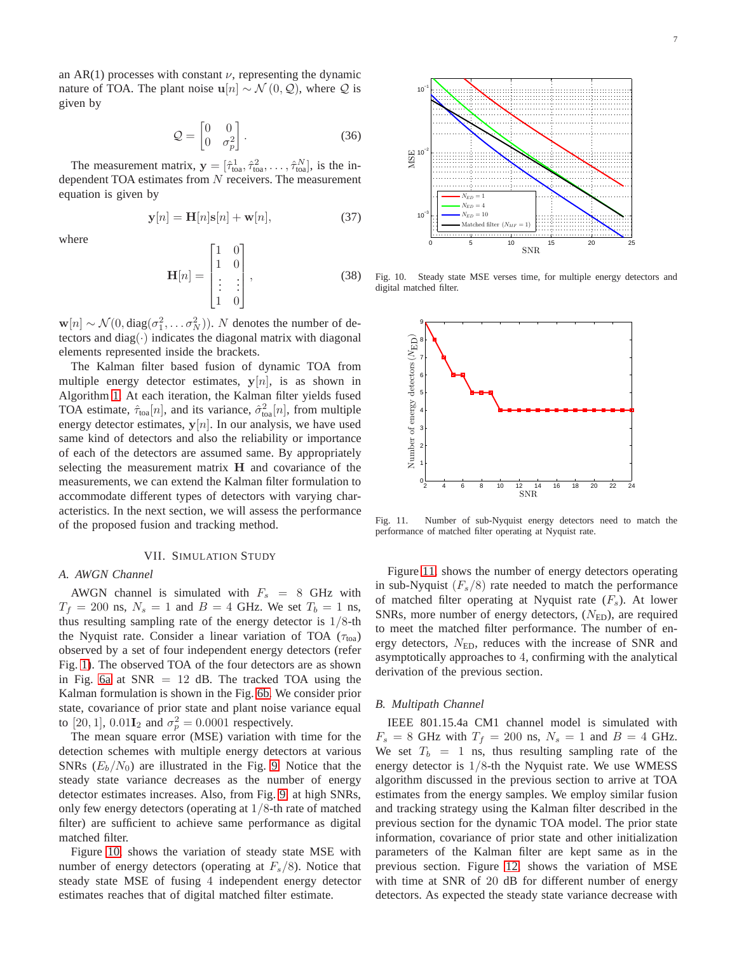an AR(1) processes with constant  $\nu$ , representing the dynamic nature of TOA. The plant noise  $u[n] \sim \mathcal{N}(0, \mathcal{Q})$ , where  $\mathcal Q$  is given by

$$
\mathcal{Q} = \begin{bmatrix} 0 & 0 \\ 0 & \sigma_p^2 \end{bmatrix} . \tag{36}
$$

The measurement matrix,  $y = [\hat{\tau}_{\text{toa}}^1, \hat{\tau}_{\text{toa}}^2, \dots, \hat{\tau}_{\text{toa}}^N]$ , is the independent TOA estimates from  $N$  receivers. The measurement equation is given by

$$
\mathbf{y}[n] = \mathbf{H}[n]\mathbf{s}[n] + \mathbf{w}[n],\tag{37}
$$

where

$$
\mathbf{H}[n] = \begin{bmatrix} 1 & 0 \\ 1 & 0 \\ \vdots & \vdots \\ 1 & 0 \end{bmatrix}, \tag{38}
$$

 $\mathbf{w}[n] \sim \mathcal{N}(0, \text{diag}(\sigma_1^2, \dots, \sigma_N^2)).$  N denotes the number of detectors and diag( $\cdot$ ) indicates the diagonal matrix with diagonal elements represented inside the brackets.

The Kalman filter based fusion of dynamic TOA from multiple energy detector estimates,  $y[n]$ , is as shown in Algorithm [1.](#page-4-3) At each iteration, the Kalman filter yields fused TOA estimate,  $\hat{\tau}_{\text{toa}}[n]$ , and its variance,  $\hat{\sigma}_{\text{toa}}^2[n]$ , from multiple energy detector estimates,  $y[n]$ . In our analysis, we have used same kind of detectors and also the reliability or importance of each of the detectors are assumed same. By appropriately selecting the measurement matrix H and covariance of the measurements, we can extend the Kalman filter formulation to accommodate different types of detectors with varying characteristics. In the next section, we will assess the performance of the proposed fusion and tracking method.

#### VII. SIMULATION STUDY

## <span id="page-6-0"></span>*A. AWGN Channel*

AWGN channel is simulated with  $F_s = 8$  GHz with  $T_f = 200$  ns,  $N_s = 1$  and  $B = 4$  GHz. We set  $T_b = 1$  ns, thus resulting sampling rate of the energy detector is  $1/8$ -th the Nyquist rate. Consider a linear variation of TOA ( $\tau_{\text{toa}}$ ) observed by a set of four independent energy detectors (refer Fig. [1\)](#page-1-2). The observed TOA of the four detectors are as shown in Fig. [6a](#page-4-4) at  $SNR = 12$  dB. The tracked TOA using the Kalman formulation is shown in the Fig. [6b.](#page-4-5) We consider prior state, covariance of prior state and plant noise variance equal to [20, 1], 0.01 $I_2$  and  $\sigma_p^2 = 0.0001$  respectively.

The mean square error (MSE) variation with time for the detection schemes with multiple energy detectors at various SNRs  $(E_b/N_0)$  are illustrated in the Fig. [9.](#page-7-1) Notice that the steady state variance decreases as the number of energy detector estimates increases. Also, from Fig. [9,](#page-7-1) at high SNRs, only few energy detectors (operating at 1/8-th rate of matched filter) are sufficient to achieve same performance as digital matched filter.

Figure [10,](#page-6-1) shows the variation of steady state MSE with number of energy detectors (operating at  $F_s/8$ ). Notice that steady state MSE of fusing 4 independent energy detector estimates reaches that of digital matched filter estimate.



Fig. 10. Steady state MSE verses time, for multiple energy detectors and digital matched filter.

<span id="page-6-1"></span>

<span id="page-6-2"></span>Fig. 11. Number of sub-Nyquist energy detectors need to match the performance of matched filter operating at Nyquist rate.

Figure [11,](#page-6-2) shows the number of energy detectors operating in sub-Nyquist  $(F_s/8)$  rate needed to match the performance of matched filter operating at Nyquist rate  $(F_s)$ . At lower SNRs, more number of energy detectors,  $(N_{\text{ED}})$ , are required to meet the matched filter performance. The number of energy detectors,  $N_{ED}$ , reduces with the increase of SNR and asymptotically approaches to 4, confirming with the analytical derivation of the previous section.

#### *B. Multipath Channel*

IEEE 801.15.4a CM1 channel model is simulated with  $F_s = 8$  GHz with  $T_f = 200$  ns,  $N_s = 1$  and  $B = 4$  GHz. We set  $T_b = 1$  ns, thus resulting sampling rate of the energy detector is  $1/8$ -th the Nyquist rate. We use WMESS algorithm discussed in the previous section to arrive at TOA estimates from the energy samples. We employ similar fusion and tracking strategy using the Kalman filter described in the previous section for the dynamic TOA model. The prior state information, covariance of prior state and other initialization parameters of the Kalman filter are kept same as in the previous section. Figure [12,](#page-7-2) shows the variation of MSE with time at SNR of 20 dB for different number of energy detectors. As expected the steady state variance decrease with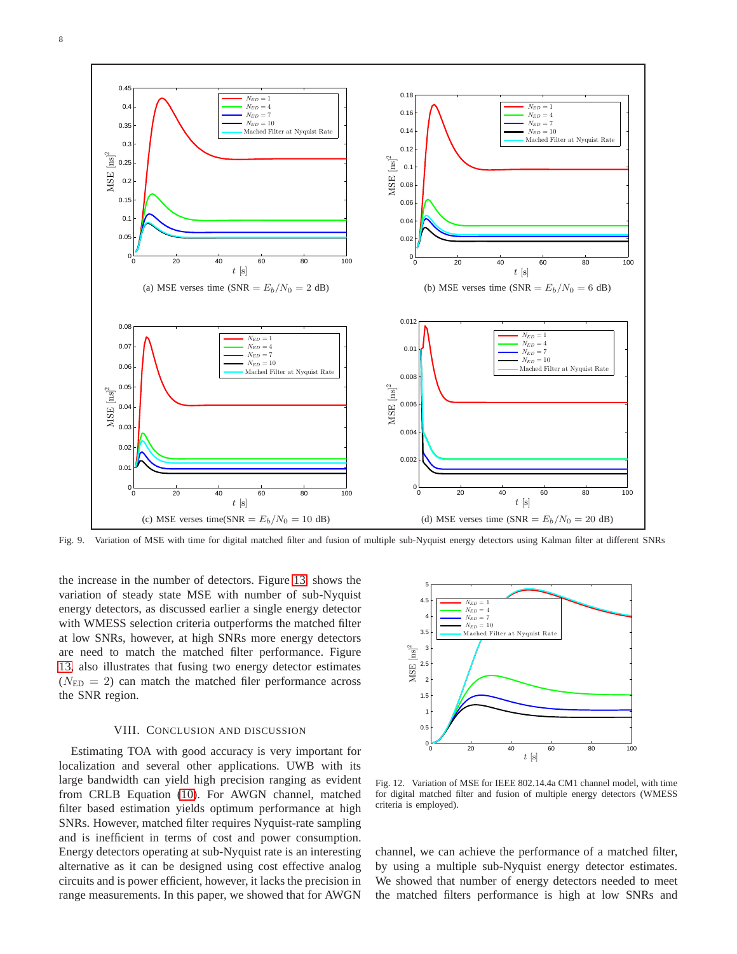

<span id="page-7-1"></span>Fig. 9. Variation of MSE with time for digital matched filter and fusion of multiple sub-Nyquist energy detectors using Kalman filter at different SNRs

the increase in the number of detectors. Figure [13,](#page-8-23) shows the variation of steady state MSE with number of sub-Nyquist energy detectors, as discussed earlier a single energy detector with WMESS selection criteria outperforms the matched filter at low SNRs, however, at high SNRs more energy detectors are need to match the matched filter performance. Figure [13,](#page-8-23) also illustrates that fusing two energy detector estimates  $(N_{\rm ED} = 2)$  can match the matched filer performance across the SNR region.

#### VIII. CONCLUSION AND DISCUSSION

<span id="page-7-0"></span>Estimating TOA with good accuracy is very important for localization and several other applications. UWB with its large bandwidth can yield high precision ranging as evident from CRLB Equation [\(10\)](#page-2-10). For AWGN channel, matched filter based estimation yields optimum performance at high SNRs. However, matched filter requires Nyquist-rate sampling and is inefficient in terms of cost and power consumption. Energy detectors operating at sub-Nyquist rate is an interesting alternative as it can be designed using cost effective analog circuits and is power efficient, however, it lacks the precision in range measurements. In this paper, we showed that for AWGN



<span id="page-7-2"></span>Fig. 12. Variation of MSE for IEEE 802.14.4a CM1 channel model, with time for digital matched filter and fusion of multiple energy detectors (WMESS criteria is employed).

channel, we can achieve the performance of a matched filter, by using a multiple sub-Nyquist energy detector estimates. We showed that number of energy detectors needed to meet the matched filters performance is high at low SNRs and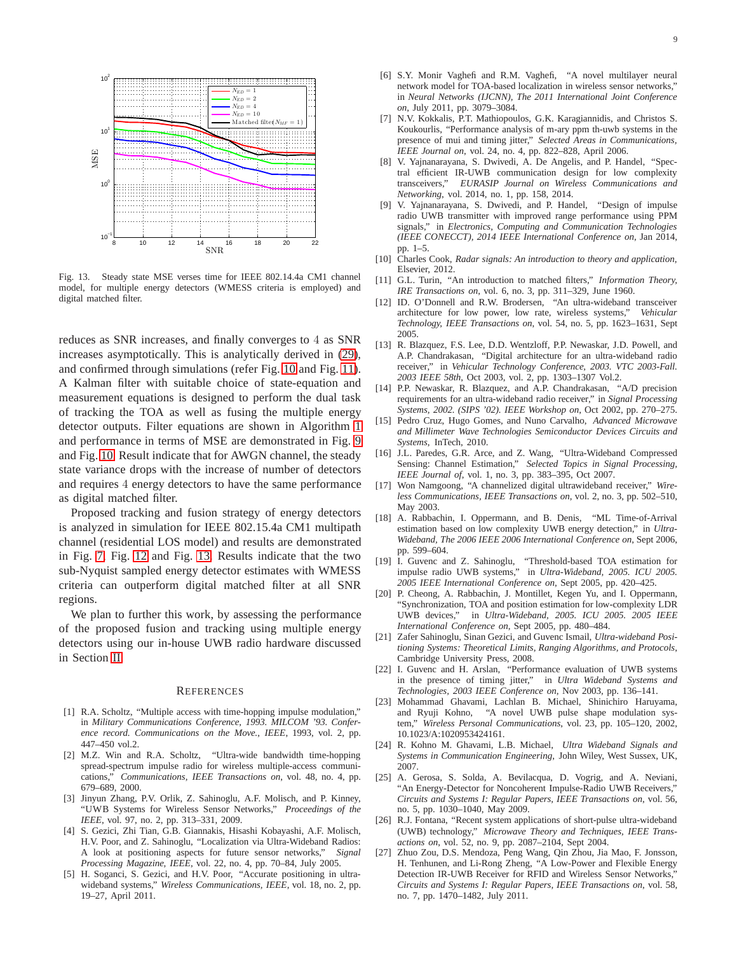

<span id="page-8-23"></span>Fig. 13. Steady state MSE verses time for IEEE 802.14.4a CM1 channel model, for multiple energy detectors (WMESS criteria is employed) and digital matched filter.

reduces as SNR increases, and finally converges to 4 as SNR increases asymptotically. This is analytically derived in [\(29\)](#page-4-2), and confirmed through simulations (refer Fig. [10](#page-6-1) and Fig. [11\)](#page-6-2). A Kalman filter with suitable choice of state-equation and measurement equations is designed to perform the dual task of tracking the TOA as well as fusing the multiple energy detector outputs. Filter equations are shown in Algorithm [1](#page-4-3) and performance in terms of MSE are demonstrated in Fig. [9](#page-7-1) and Fig. [10.](#page-6-1) Result indicate that for AWGN channel, the steady state variance drops with the increase of number of detectors and requires 4 energy detectors to have the same performance as digital matched filter.

Proposed tracking and fusion strategy of energy detectors is analyzed in simulation for IEEE 802.15.4a CM1 multipath channel (residential LOS model) and results are demonstrated in Fig. [7,](#page-5-1) Fig. [12](#page-7-2) and Fig. [13.](#page-8-23) Results indicate that the two sub-Nyquist sampled energy detector estimates with WMESS criteria can outperform digital matched filter at all SNR regions.

We plan to further this work, by assessing the performance of the proposed fusion and tracking using multiple energy detectors using our in-house UWB radio hardware discussed in Section [II.](#page-1-0)

#### **REFERENCES**

- <span id="page-8-0"></span>[1] R.A. Scholtz, "Multiple access with time-hopping impulse modulation," in *Military Communications Conference, 1993. MILCOM '93. Conference record. Communications on the Move., IEEE*, 1993, vol. 2, pp. 447–450 vol.2.
- [2] M.Z. Win and R.A. Scholtz, "Ultra-wide bandwidth time-hopping spread-spectrum impulse radio for wireless multiple-access communications," *Communications, IEEE Transactions on*, vol. 48, no. 4, pp. 679–689, 2000.
- <span id="page-8-1"></span>[3] Jinyun Zhang, P.V. Orlik, Z. Sahinoglu, A.F. Molisch, and P. Kinney, "UWB Systems for Wireless Sensor Networks," *Proceedings of the IEEE*, vol. 97, no. 2, pp. 313–331, 2009.
- <span id="page-8-2"></span>[4] S. Gezici, Zhi Tian, G.B. Giannakis, Hisashi Kobayashi, A.F. Molisch, H.V. Poor, and Z. Sahinoglu, "Localization via Ultra-Wideband Radios: A look at positioning aspects for future sensor networks," *Signal Processing Magazine, IEEE*, vol. 22, no. 4, pp. 70–84, July 2005.
- <span id="page-8-3"></span>[5] H. Soganci, S. Gezici, and H.V. Poor, "Accurate positioning in ultrawideband systems," *Wireless Communications, IEEE*, vol. 18, no. 2, pp. 19–27, April 2011.
- <span id="page-8-4"></span>[6] S.Y. Monir Vaghefi and R.M. Vaghefi, "A novel multilayer neural network model for TOA-based localization in wireless sensor networks," in *Neural Networks (IJCNN), The 2011 International Joint Conference on*, July 2011, pp. 3079–3084.
- <span id="page-8-5"></span>[7] N.V. Kokkalis, P.T. Mathiopoulos, G.K. Karagiannidis, and Christos S. Koukourlis, "Performance analysis of m-ary ppm th-uwb systems in the presence of mui and timing jitter," *Selected Areas in Communications, IEEE Journal on*, vol. 24, no. 4, pp. 822–828, April 2006.
- <span id="page-8-19"></span>[8] V. Yajnanarayana, S. Dwivedi, A. De Angelis, and P. Handel, "Spectral efficient IR-UWB communication design for low complexity transceivers," *EURASIP Journal on Wireless Communications and Networking*, vol. 2014, no. 1, pp. 158, 2014.
- <span id="page-8-6"></span>[9] V. Yajnanarayana, S. Dwivedi, and P. Handel, "Design of impulse radio UWB transmitter with improved range performance using PPM signals," in *Electronics, Computing and Communication Technologies (IEEE CONECCT), 2014 IEEE International Conference on*, Jan 2014, pp. 1–5.
- <span id="page-8-7"></span>[10] Charles Cook, *Radar signals: An introduction to theory and application*, Elsevier, 2012.
- <span id="page-8-8"></span>[11] G.L. Turin, "An introduction to matched filters," *Information Theory, IRE Transactions on*, vol. 6, no. 3, pp. 311–329, June 1960.
- <span id="page-8-9"></span>[12] ID. O'Donnell and R.W. Brodersen, "An ultra-wideband transceiver architecture for low power, low rate, wireless systems," *Vehicular Technology, IEEE Transactions on*, vol. 54, no. 5, pp. 1623–1631, Sept 2005.
- [13] R. Blazquez, F.S. Lee, D.D. Wentzloff, P.P. Newaskar, J.D. Powell, and A.P. Chandrakasan, "Digital architecture for an ultra-wideband radio receiver," in *Vehicular Technology Conference, 2003. VTC 2003-Fall. 2003 IEEE 58th*, Oct 2003, vol. 2, pp. 1303–1307 Vol.2.
- <span id="page-8-10"></span>[14] P.P. Newaskar, R. Blazquez, and A.P. Chandrakasan, "A/D precision requirements for an ultra-wideband radio receiver," in *Signal Processing Systems, 2002. (SIPS '02). IEEE Workshop on*, Oct 2002, pp. 270–275.
- <span id="page-8-11"></span>[15] Pedro Cruz, Hugo Gomes, and Nuno Carvalho, *Advanced Microwave and Millimeter Wave Technologies Semiconductor Devices Circuits and Systems*, InTech, 2010.
- <span id="page-8-12"></span>[16] J.L. Paredes, G.R. Arce, and Z. Wang, "Ultra-Wideband Compressed Sensing: Channel Estimation," *Selected Topics in Signal Processing, IEEE Journal of*, vol. 1, no. 3, pp. 383–395, Oct 2007.
- <span id="page-8-13"></span>[17] Won Namgoong, "A channelized digital ultrawideband receiver," *Wireless Communications, IEEE Transactions on*, vol. 2, no. 3, pp. 502–510, May 2003.
- <span id="page-8-14"></span>[18] A. Rabbachin, I. Oppermann, and B. Denis, "ML Time-of-Arrival estimation based on low complexity UWB energy detection," in *Ultra-Wideband, The 2006 IEEE 2006 International Conference on*, Sept 2006, pp. 599–604.
- <span id="page-8-16"></span>[19] I. Guvenc and Z. Sahinoglu, "Threshold-based TOA estimation for impulse radio UWB systems," in *Ultra-Wideband, 2005. ICU 2005. 2005 IEEE International Conference on*, Sept 2005, pp. 420–425.
- <span id="page-8-15"></span>[20] P. Cheong, A. Rabbachin, J. Montillet, Kegen Yu, and I. Oppermann, "Synchronization, TOA and position estimation for low-complexity LDR UWB devices," in *Ultra-Wideband, 2005. ICU 2005. 2005 IEEE* in *Ultra-Wideband, 2005. ICU 2005. 2005 IEEE International Conference on*, Sept 2005, pp. 480–484.
- <span id="page-8-17"></span>[21] Zafer Sahinoglu, Sinan Gezici, and Guvenc Ismail, *Ultra-wideband Positioning Systems: Theoretical Limits, Ranging Algorithms, and Protocols*, Cambridge University Press, 2008.
- <span id="page-8-18"></span>[22] I. Guvenc and H. Arslan, "Performance evaluation of UWB systems in the presence of timing jitter," in *Ultra Wideband Systems and Technologies, 2003 IEEE Conference on*, Nov 2003, pp. 136–141.
- <span id="page-8-20"></span>[23] Mohammad Ghavami, Lachlan B. Michael, Shinichiro Haruyama, and Ryuji Kohno, "A novel UWB pulse shape modulation system," *Wireless Personal Communications*, vol. 23, pp. 105–120, 2002, 10.1023/A:1020953424161.
- <span id="page-8-21"></span>[24] R. Kohno M. Ghavami, L.B. Michael, *Ultra Wideband Signals and Systems in Communication Engineering*, John Wiley, West Sussex, UK, 2007.
- <span id="page-8-22"></span>[25] A. Gerosa, S. Solda, A. Bevilacqua, D. Vogrig, and A. Neviani, "An Energy-Detector for Noncoherent Impulse-Radio UWB Receivers," *Circuits and Systems I: Regular Papers, IEEE Transactions on*, vol. 56, no. 5, pp. 1030–1040, May 2009.
- [26] R.J. Fontana, "Recent system applications of short-pulse ultra-wideband (UWB) technology," *Microwave Theory and Techniques, IEEE Transactions on*, vol. 52, no. 9, pp. 2087–2104, Sept 2004.
- [27] Zhuo Zou, D.S. Mendoza, Peng Wang, Qin Zhou, Jia Mao, F. Jonsson, H. Tenhunen, and Li-Rong Zheng, "A Low-Power and Flexible Energy Detection IR-UWB Receiver for RFID and Wireless Sensor Networks, *Circuits and Systems I: Regular Papers, IEEE Transactions on*, vol. 58, no. 7, pp. 1470–1482, July 2011.